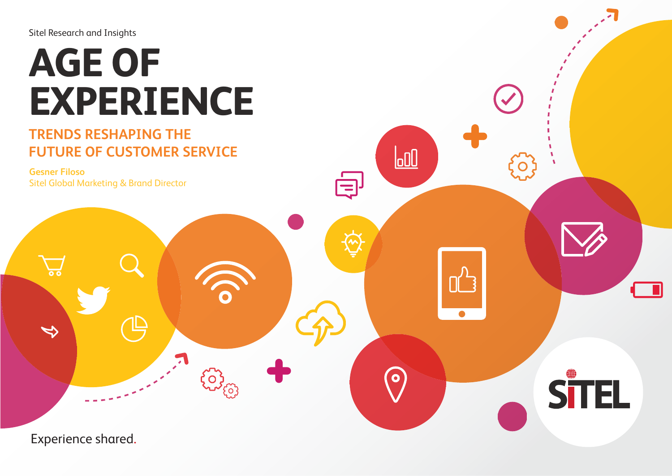#### Sitel Research and Insights

## **AGE OF EXPERIENCE**

### **TRENDS RESHAPING THE FUTURE OF CUSTOMER SERVICE**

503

 $\overline{\text{100}}$ 

 $\bullet$ 

UL -

 $\bullet$ 

 $\overline{\Xi}$ 

 $\mathbf O$ 

**STEL** 

**Gesner Filoso** Sitel Global Marketing & Brand Director

Experience shared.

 $\sum_{\mathbf{0}}$ 

 $\Rightarrow$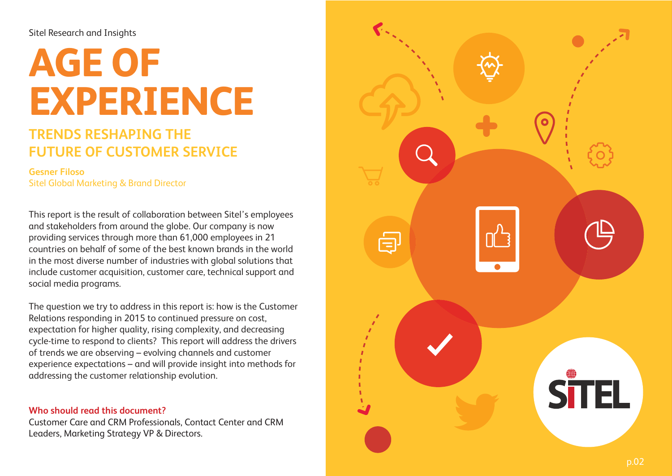#### Sitel Research and Insights

# **AGE OF EXPERIENCE**

### **TRENDS RESHAPING THE FUTURE OF CUSTOMER SERVICE**

**Gesner Filoso** Sitel Global Marketing & Brand Director

This report is the result of collaboration between Sitel's employees and stakeholders from around the globe. Our company is now providing services through more than 61,000 employees in 21 countries on behalf of some of the best known brands in the world in the most diverse number of industries with global solutions that include customer acquisition, customer care, technical support and social media programs.

The question we try to address in this report is: how is the Customer Relations responding in 2015 to continued pressure on cost, expectation for higher quality, rising complexity, and decreasing cycle-time to respond to clients? This report will address the drivers of trends we are observing – evolving channels and customer experience expectations – and will provide insight into methods for addressing the customer relationship evolution.

#### **Who should read this document?**

Customer Care and CRM Professionals, Contact Center and CRM Leaders, Marketing Strategy VP & Directors.

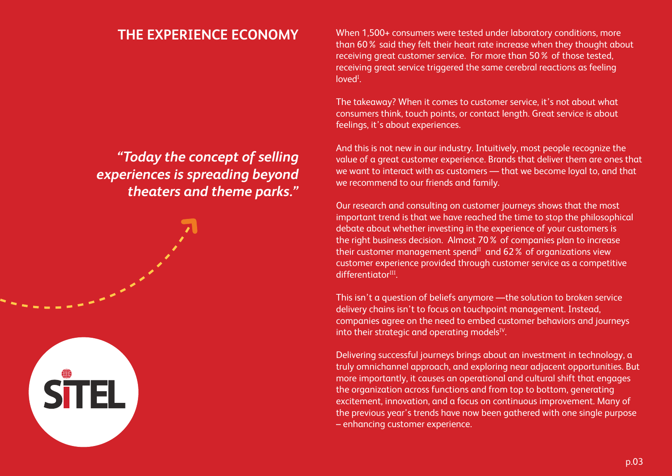*"Today the concept of selling experiences is spreading beyond theaters and theme parks."*

**STEL** 

**THE EXPERIENCE ECONOMY** When 1,500+ consumers were tested under laboratory conditions, more than 60% said they felt their heart rate increase when they thought about receiving great customer service. For more than 50% of those tested, receiving great service triggered the same cerebral reactions as feeling loved<sup>I</sup>.

> The takeaway? When it comes to customer service, it's not about what consumers think, touch points, or contact length. Great service is about feelings, it's about experiences.

And this is not new in our industry. Intuitively, most people recognize the value of a great customer experience. Brands that deliver them are ones that we want to interact with as customers — that we become loyal to, and that we recommend to our friends and family.

Our research and consulting on customer journeys shows that the most important trend is that we have reached the time to stop the philosophical debate about whether investing in the experience of your customers is the right business decision. Almost 70% of companies plan to increase their customer management spend<sup>II</sup> and  $62\%$  of organizations view customer experience provided through customer service as a competitive differentiator<sup>III</sup>.

This isn't a question of beliefs anymore —the solution to broken service delivery chains isn't to focus on touchpoint management. Instead, companies agree on the need to embed customer behaviors and journeys into their strategic and operating models<sup>IV</sup>.

Delivering successful journeys brings about an investment in technology, a truly omnichannel approach, and exploring near adjacent opportunities. But more importantly, it causes an operational and cultural shift that engages the organization across functions and from top to bottom, generating excitement, innovation, and a focus on continuous improvement. Many of the previous year's trends have now been gathered with one single purpose – enhancing customer experience.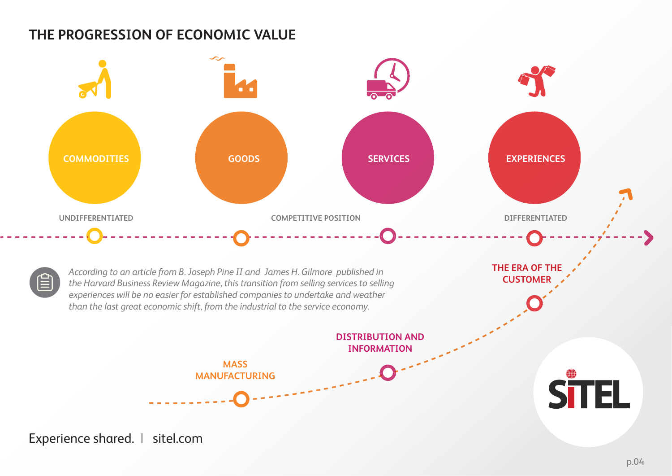## **THE PROGRESSION OF ECONOMIC VALUE**

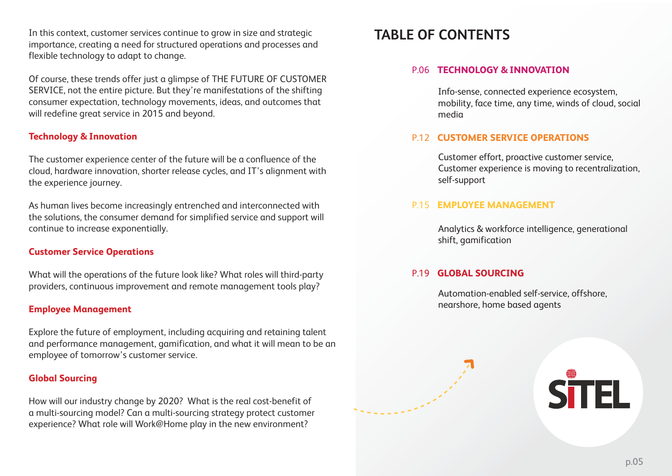In this context, customer services continue to grow in size and strategic importance, creating a need for structured operations and processes and flexible technology to adapt to change.

Of course, these trends offer just a glimpse of THE FUTURE OF CUSTOMER SERVICE, not the entire picture. But they're manifestations of the shifting consumer expectation, technology movements, ideas, and outcomes that will redefine great service in 2015 and beyond.

#### **Technology & Innovation**

The customer experience center of the future will be a confluence of the cloud, hardware innovation, shorter release cycles, and IT's alignment with the experience journey.

As human lives become increasingly entrenched and interconnected with the solutions, the consumer demand for simplified service and support will continue to increase exponentially.

#### **Customer Service Operations**

What will the operations of the future look like? What roles will third-party providers, continuous improvement and remote management tools play?

#### **Employee Management**

Explore the future of employment, including acquiring and retaining talent and performance management, gamification, and what it will mean to be an employee of tomorrow's customer service.

#### **Global Sourcing**

How will our industry change by 2020? What is the real cost-benefit of a multi-sourcing model? Can a multi-sourcing strategy protect customer experience? What role will Work@Home play in the new environment?

#### **TABLE OF CONTENTS**

#### **TECHNOLOGY & INNOVATION**  P.06

Info-sense, connected experience ecosystem, mobility, face time, any time, winds of cloud, social media

#### **CUSTOMER SERVICE OPERATIONS** P.12

Customer effort, proactive customer service, Customer experience is moving to recentralization, self-support

#### **EMPLOYEE MANAGEMENT** P.15

Analytics & workforce intelligence, generational shift, gamification

#### **GLOBAL SOURCING** P.19

Automation-enabled self-service, offshore, nearshore, home based agents



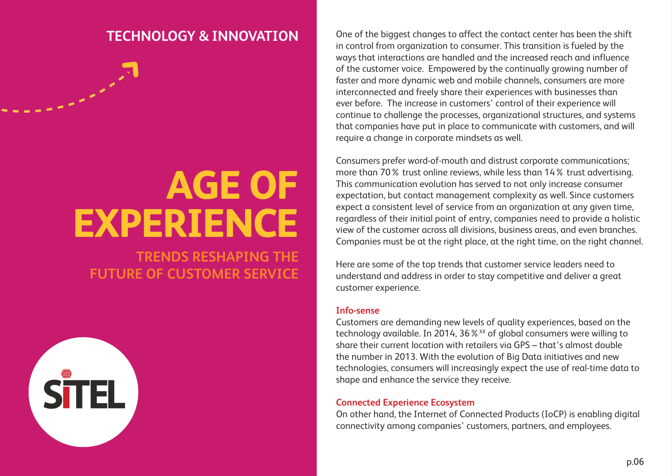## **AGE OF EXPERIENCE**

**TRENDS RESHAPING THE FUTURE OF CUSTOMER SERVICE**



**TECHNOLOGY & INNOVATION** One of the biggest changes to affect the contact center has been the shift in control from organization to consumer. This transition is fueled by the ways that interactions are handled and the increased reach and influence of the customer voice. Empowered by the continually growing number of faster and more dynamic web and mobile channels, consumers are more interconnected and freely share their experiences with businesses than ever before. The increase in customers' control of their experience will continue to challenge the processes, organizational structures, and systems that companies have put in place to communicate with customers, and will require a change in corporate mindsets as well.

> Consumers prefer word-of-mouth and distrust corporate communications; more than 70% trust online reviews, while less than 14% trust advertising. This communication evolution has served to not only increase consumer expectation, but contact management complexity as well. Since customers expect a consistent level of service from an organization at any given time, regardless of their initial point of entry, companies need to provide a holistic view of the customer across all divisions, business areas, and even branches. Companies must be at the right place, at the right time, on the right channel.

Here are some of the top trends that customer service leaders need to understand and address in order to stay competitive and deliver a great customer experience.

#### **Info-sense**

Customers are demanding new levels of quality experiences, based on the technology available. In 2014, 36  $\frac{1}{2}$  XX of global consumers were willing to share their current location with retailers via GPS – that's almost double the number in 2013. With the evolution of Big Data initiatives and new technologies, consumers will increasingly expect the use of real-time data to shape and enhance the service they receive.

#### **Connected Experience Ecosystem**

On other hand, the Internet of Connected Products (IoCP) is enabling digital connectivity among companies' customers, partners, and employees.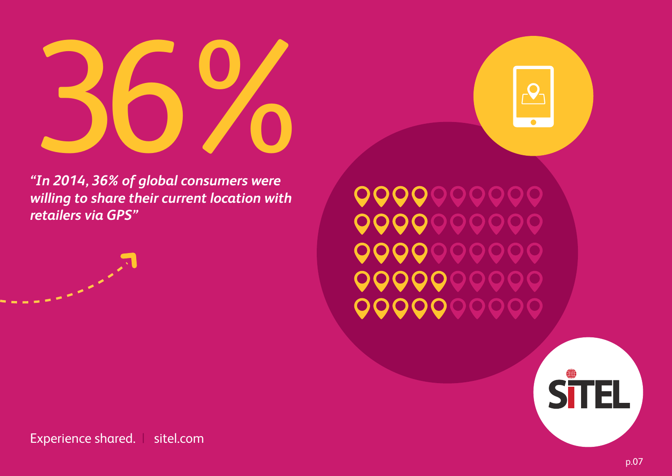

*"In 2014, 36% of global consumers were willing to share their current location with retailers via GPS"*

**OOOOOOOOO OOOOOOOOO** 99999999 00000000 999999999

 $\mathcal{P}$ 

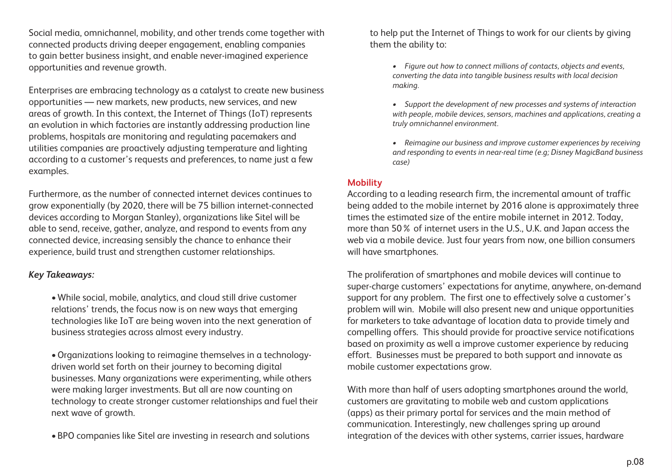Social media, omnichannel, mobility, and other trends come together with connected products driving deeper engagement, enabling companies to gain better business insight, and enable never-imagined experience opportunities and revenue growth.

Enterprises are embracing technology as a catalyst to create new business opportunities — new markets, new products, new services, and new areas of growth. In this context, the Internet of Things (IoT) represents an evolution in which factories are instantly addressing production line problems, hospitals are monitoring and regulating pacemakers and utilities companies are proactively adjusting temperature and lighting according to a customer's requests and preferences, to name just a few examples.

Furthermore, as the number of connected internet devices continues to grow exponentially (by 2020, there will be 75 billion internet-connected devices according to Morgan Stanley), organizations like Sitel will be able to send, receive, gather, analyze, and respond to events from any connected device, increasing sensibly the chance to enhance their experience, build trust and strengthen customer relationships.

#### *Key Takeaways:*

• While social, mobile, analytics, and cloud still drive customer relations' trends, the focus now is on new ways that emerging technologies like IoT are being woven into the next generation of business strategies across almost every industry.

• Organizations looking to reimagine themselves in a technologydriven world set forth on their journey to becoming digital businesses. Many organizations were experimenting, while others were making larger investments. But all are now counting on technology to create stronger customer relationships and fuel their next wave of growth.

• BPO companies like Sitel are investing in research and solutions

to help put the Internet of Things to work for our clients by giving them the ability to:

- *Figure out how to connect millions of contacts, objects and events, converting the data into tangible business results with local decision making.*
- *Support the development of new processes and systems of interaction with people, mobile devices, sensors, machines and applications, creating a truly omnichannel environment.*
- *Reimagine our business and improve customer experiences by receiving and responding to events in near-real time (e.g; Disney MagicBand business case)*

#### **Mobility**

According to a leading research firm, the incremental amount of traffic being added to the mobile internet by 2016 alone is approximately three times the estimated size of the entire mobile internet in 2012. Today, more than 50% of internet users in the U.S., U.K. and Japan access the web via a mobile device. Just four years from now, one billion consumers will have smartphones.

The proliferation of smartphones and mobile devices will continue to super-charge customers' expectations for anytime, anywhere, on-demand support for any problem. The first one to effectively solve a customer's problem will win. Mobile will also present new and unique opportunities for marketers to take advantage of location data to provide timely and compelling offers. This should provide for proactive service notifications based on proximity as well a improve customer experience by reducing effort. Businesses must be prepared to both support and innovate as mobile customer expectations grow.

With more than half of users adopting smartphones around the world, customers are gravitating to mobile web and custom applications (apps) as their primary portal for services and the main method of communication. Interestingly, new challenges spring up around integration of the devices with other systems, carrier issues, hardware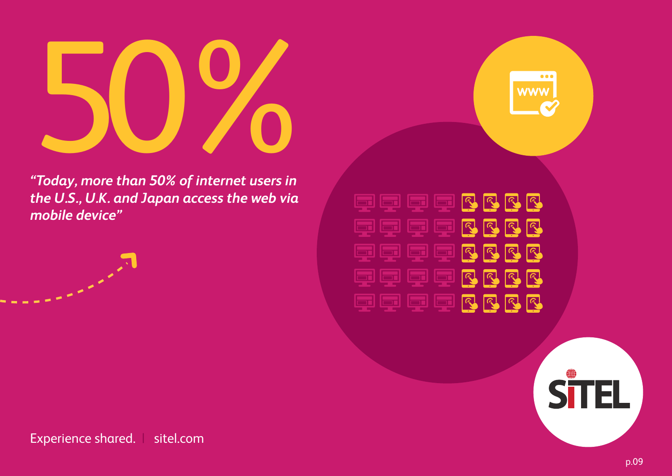

*"Today, more than 50% of internet users in the U.S., U.K. and Japan access the web via mobile device"*





 $\bullet\bullet\bullet$ 

**WWW**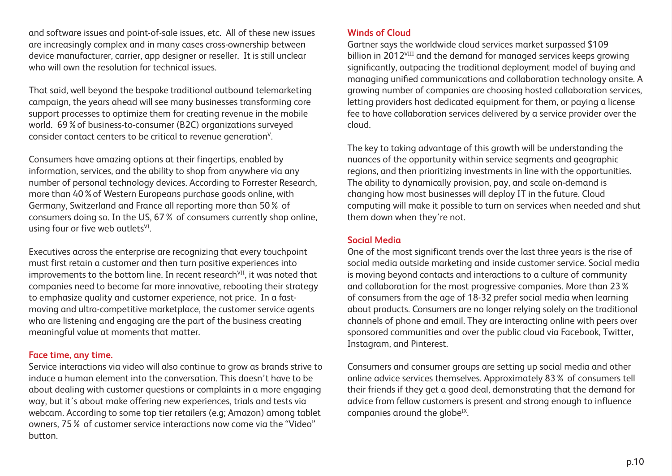and software issues and point-of-sale issues, etc. All of these new issues are increasingly complex and in many cases cross-ownership between device manufacturer, carrier, app designer or reseller. It is still unclear who will own the resolution for technical issues.

That said, well beyond the bespoke traditional outbound telemarketing campaign, the years ahead will see many businesses transforming core support processes to optimize them for creating revenue in the mobile world. 69%of business-to-consumer (B2C) organizations surveyed consider contact centers to be critical to revenue generation<sup>v</sup>.

Consumers have amazing options at their fingertips, enabled by information, services, and the ability to shop from anywhere via any number of personal technology devices. According to Forrester Research, more than 40%of Western Europeans purchase goods online, with Germany, Switzerland and France all reporting more than 50% of consumers doing so. In the US, 67% of consumers currently shop online, using four or five web outlets $V<sup>I</sup>$ .

Executives across the enterprise are recognizing that every touchpoint must first retain a customer and then turn positive experiences into improvements to the bottom line. In recent research<sup>VII</sup>, it was noted that companies need to become far more innovative, rebooting their strategy to emphasize quality and customer experience, not price. In a fastmoving and ultra-competitive marketplace, the customer service agents who are listening and engaging are the part of the business creating meaningful value at moments that matter.

#### **Face time, any time.**

Service interactions via video will also continue to grow as brands strive to induce a human element into the conversation. This doesn't have to be about dealing with customer questions or complaints in a more engaging way, but it's about make offering new experiences, trials and tests via webcam. According to some top tier retailers (e.g; Amazon) among tablet owners, 75% of customer service interactions now come via the "Video" button.

#### **Winds of Cloud**

Gartner says the worldwide cloud services market surpassed \$109 billion in 2012<sup>VIII</sup> and the demand for managed services keeps growing significantly, outpacing the traditional deployment model of buying and managing unified communications and collaboration technology onsite. A growing number of companies are choosing hosted collaboration services, letting providers host dedicated equipment for them, or paying a license fee to have collaboration services delivered by a service provider over the cloud.

The key to taking advantage of this growth will be understanding the nuances of the opportunity within service segments and geographic regions, and then prioritizing investments in line with the opportunities. The ability to dynamically provision, pay, and scale on-demand is changing how most businesses will deploy IT in the future. Cloud computing will make it possible to turn on services when needed and shut them down when they're not.

#### **Social Media**

One of the most significant trends over the last three years is the rise of social media outside marketing and inside customer service. Social media is moving beyond contacts and interactions to a culture of community and collaboration for the most progressive companies. More than 23% of consumers from the age of 18-32 prefer social media when learning about products. Consumers are no longer relying solely on the traditional channels of phone and email. They are interacting online with peers over sponsored communities and over the public cloud via Facebook, Twitter, Instagram, and Pinterest.

Consumers and consumer groups are setting up social media and other online advice services themselves. Approximately 83% of consumers tell their friends if they get a good deal, demonstrating that the demand for advice from fellow customers is present and strong enough to influence companies around the globe<sup>IX</sup>.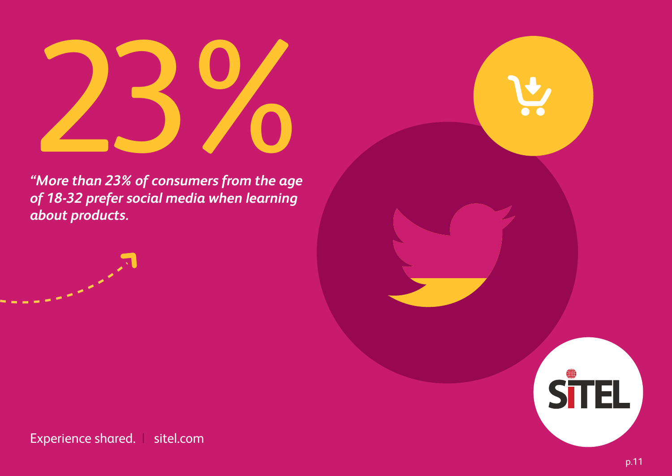

*"More than 23% of consumers from the age of 18-32 prefer social media when learning about products.*



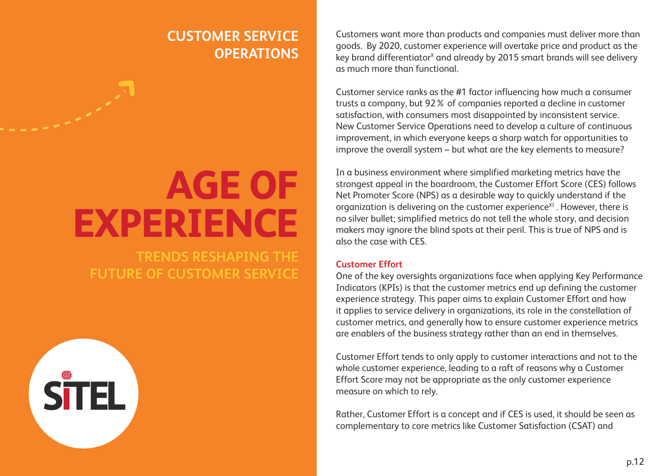### **CUSTOMER SERVICE OPERATIONS**

## **AGE OF EXPERIENCE**

**TRENDS RESHAPING THE FUTURE OF CUSTOMER SERVICE**



Customers want more than products and companies must deliver more than goods. By 2020, customer experience will overtake price and product as the key brand differentiator<sup>x</sup> and already by 2015 smart brands will see delivery as much more than functional.

Customer service ranks as the #1 factor influencing how much a consumer trusts a company, but 92% of companies reported a decline in customer satisfaction, with consumers most disappointed by inconsistent service. New Customer Service Operations need to develop a culture of continuous improvement, in which everyone keeps a sharp watch for opportunities to improve the overall system – but what are the key elements to measure?

In a business environment where simplified marketing metrics have the strongest appeal in the boardroom, the Customer Effort Score (CES) follows Net Promoter Score (NPS) as a desirable way to quickly understand if the organization is delivering on the customer experience<sup>XI</sup>. However, there is no silver bullet; simplified metrics do not tell the whole story, and decision makers may ignore the blind spots at their peril. This is true of NPS and is also the case with CES.

#### **Customer Effort**

One of the key oversights organizations face when applying Key Performance Indicators (KPIs) is that the customer metrics end up defining the customer experience strategy. This paper aims to explain Customer Effort and how it applies to service delivery in organizations, its role in the constellation of customer metrics, and generally how to ensure customer experience metrics are enablers of the business strategy rather than an end in themselves.

Customer Effort tends to only apply to customer interactions and not to the whole customer experience, leading to a raft of reasons why a Customer Effort Score may not be appropriate as the only customer experience measure on which to rely.

Rather, Customer Effort is a concept and if CES is used, it should be seen as complementary to core metrics like Customer Satisfaction (CSAT) and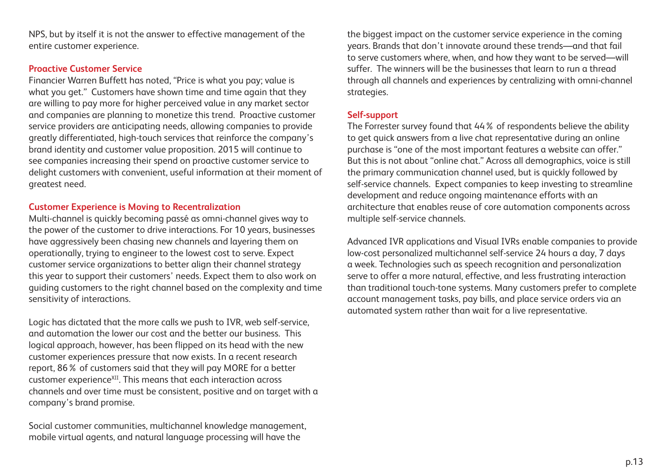NPS, but by itself it is not the answer to effective management of the entire customer experience.

#### **Proactive Customer Service**

Financier Warren Buffett has noted, "Price is what you pay; value is what you get." Customers have shown time and time again that they are willing to pay more for higher perceived value in any market sector and companies are planning to monetize this trend. Proactive customer service providers are anticipating needs, allowing companies to provide greatly differentiated, high-touch services that reinforce the company's brand identity and customer value proposition. 2015 will continue to see companies increasing their spend on proactive customer service to delight customers with convenient, useful information at their moment of greatest need.

#### **Customer Experience is Moving to Recentralization**

Multi-channel is quickly becoming passé as omni-channel gives way to the power of the customer to drive interactions. For 10 years, businesses have aggressively been chasing new channels and layering them on operationally, trying to engineer to the lowest cost to serve. Expect customer service organizations to better align their channel strategy this year to support their customers' needs. Expect them to also work on guiding customers to the right channel based on the complexity and time sensitivity of interactions.

Logic has dictated that the more calls we push to IVR, web self-service, and automation the lower our cost and the better our business. This logical approach, however, has been flipped on its head with the new customer experiences pressure that now exists. In a recent research report, 86% of customers said that they will pay MORE for a better customer experience<sup>XII</sup>. This means that each interaction across channels and over time must be consistent, positive and on target with a company's brand promise.

Social customer communities, multichannel knowledge management, mobile virtual agents, and natural language processing will have the

the biggest impact on the customer service experience in the coming years. Brands that don't innovate around these trends—and that fail to serve customers where, when, and how they want to be served—will suffer. The winners will be the businesses that learn to run a thread through all channels and experiences by centralizing with omni-channel strategies.

#### **Self-support**

The Forrester survey found that 44% of respondents believe the ability to get quick answers from a live chat representative during an online purchase is "one of the most important features a website can offer." But this is not about "online chat." Across all demographics, voice is still the primary communication channel used, but is quickly followed by self-service channels. Expect companies to keep investing to streamline development and reduce ongoing maintenance efforts with an architecture that enables reuse of core automation components across multiple self-service channels.

Advanced IVR applications and Visual IVRs enable companies to provide low-cost personalized multichannel self-service 24 hours a day, 7 days a week. Technologies such as speech recognition and personalization serve to offer a more natural, effective, and less frustrating interaction than traditional touch-tone systems. Many customers prefer to complete account management tasks, pay bills, and place service orders via an automated system rather than wait for a live representative.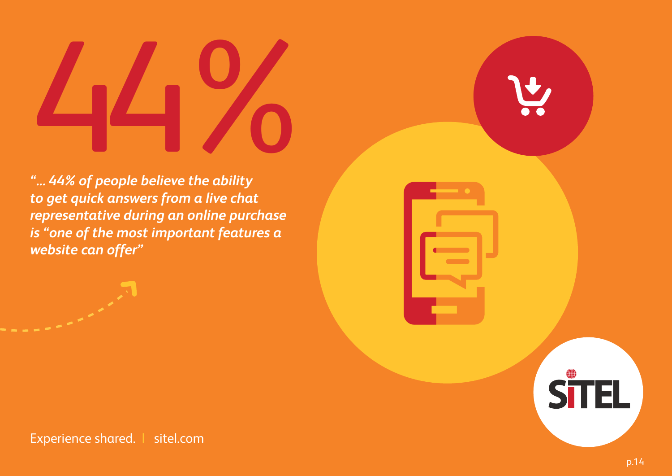# $\begin{array}{c} 1 \ 44\%$  of people believe the ability

*"... 44% of people believe the ability to get quick answers from a live chat representative during an online purchase is "one of the most important features a website can offer"* 

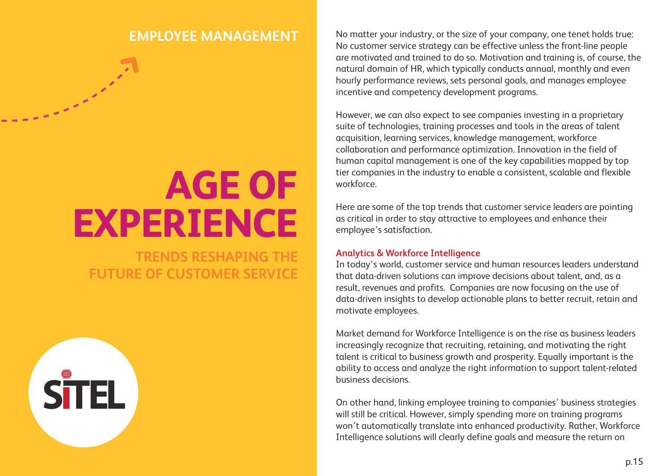# **AGE OF EXPERIENCE**

**TRENDS RESHAPING THE FUTURE OF CUSTOMER SERVICE**

**STEL** 

**EMPLOYEE MANAGEMENT** No matter your industry, or the size of your company, one tenet holds true: No customer service strategy can be effective unless the front-line people are motivated and trained to do so. Motivation and training is, of course, the natural domain of HR, which typically conducts annual, monthly and even hourly performance reviews, sets personal goals, and manages employee incentive and competency development programs.

> However, we can also expect to see companies investing in a proprietary suite of technologies, training processes and tools in the areas of talent acquisition, learning services, knowledge management, workforce collaboration and performance optimization. Innovation in the field of human capital management is one of the key capabilities mapped by top tier companies in the industry to enable a consistent, scalable and flexible workforce.

> Here are some of the top trends that customer service leaders are pointing as critical in order to stay attractive to employees and enhance their employee's satisfaction.

#### **Analytics & Workforce Intelligence**

In today's world, customer service and human resources leaders understand that data-driven solutions can improve decisions about talent, and, as a result, revenues and profits. Companies are now focusing on the use of data-driven insights to develop actionable plans to better recruit, retain and motivate employees.

Market demand for Workforce Intelligence is on the rise as business leaders increasingly recognize that recruiting, retaining, and motivating the right talent is critical to business growth and prosperity. Equally important is the ability to access and analyze the right information to support talent-related business decisions.

On other hand, linking employee training to companies' business strategies will still be critical. However, simply spending more on training programs won't automatically translate into enhanced productivity. Rather, Workforce Intelligence solutions will clearly define goals and measure the return on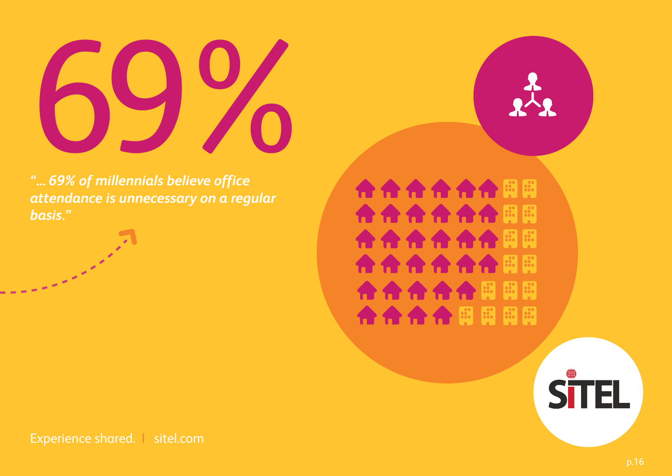

*"... 69% of millennials believe office attendance is unnecessary on a regular basis."*

**AAAAAFF** 合合合合合同同用 合合合合用用用用

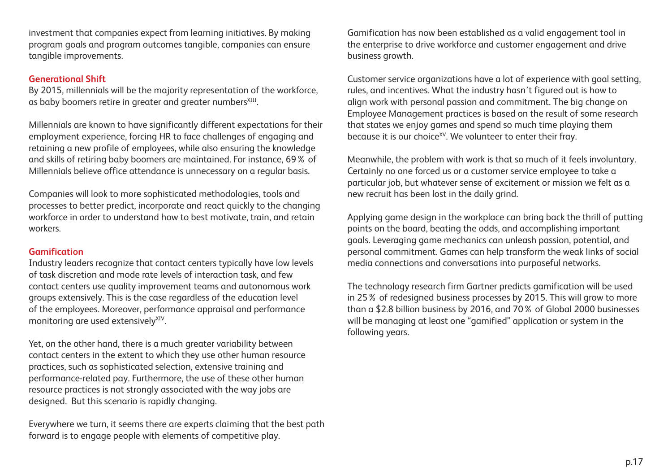investment that companies expect from learning initiatives. By making program goals and program outcomes tangible, companies can ensure tangible improvements.

#### **Generational Shift**

By 2015, millennials will be the majority representation of the workforce, as baby boomers retire in greater and greater numbers<sup>XIII</sup>.

Millennials are known to have significantly different expectations for their employment experience, forcing HR to face challenges of engaging and retaining a new profile of employees, while also ensuring the knowledge and skills of retiring baby boomers are maintained. For instance, 69% of Millennials believe office attendance is unnecessary on a regular basis.

Companies will look to more sophisticated methodologies, tools and processes to better predict, incorporate and react quickly to the changing workforce in order to understand how to best motivate, train, and retain workers.

#### **Gamification**

Industry leaders recognize that contact centers typically have low levels of task discretion and mode rate levels of interaction task, and few contact centers use quality improvement teams and autonomous work groups extensively. This is the case regardless of the education level of the employees. Moreover, performance appraisal and performance monitoring are used extensively<sup>XIV</sup>.

Yet, on the other hand, there is a much greater variability between contact centers in the extent to which they use other human resource practices, such as sophisticated selection, extensive training and performance-related pay. Furthermore, the use of these other human resource practices is not strongly associated with the way jobs are designed. But this scenario is rapidly changing.

Everywhere we turn, it seems there are experts claiming that the best path forward is to engage people with elements of competitive play.

Gamification has now been established as a valid engagement tool in the enterprise to drive workforce and customer engagement and drive business growth.

Customer service organizations have a lot of experience with goal setting, rules, and incentives. What the industry hasn't figured out is how to align work with personal passion and commitment. The big change on Employee Management practices is based on the result of some research that states we enjoy games and spend so much time playing them because it is our choice<sup>xy</sup>. We volunteer to enter their fray.

Meanwhile, the problem with work is that so much of it feels involuntary. Certainly no one forced us or a customer service employee to take a particular job, but whatever sense of excitement or mission we felt as a new recruit has been lost in the daily grind.

Applying game design in the workplace can bring back the thrill of putting points on the board, beating the odds, and accomplishing important goals. Leveraging game mechanics can unleash passion, potential, and personal commitment. Games can help transform the weak links of social media connections and conversations into purposeful networks.

The technology research firm Gartner predicts gamification will be used in 25% of redesigned business processes by 2015. This will grow to more than a \$2.8 billion business by 2016, and 70% of Global 2000 businesses will be managing at least one "gamified" application or system in the following years.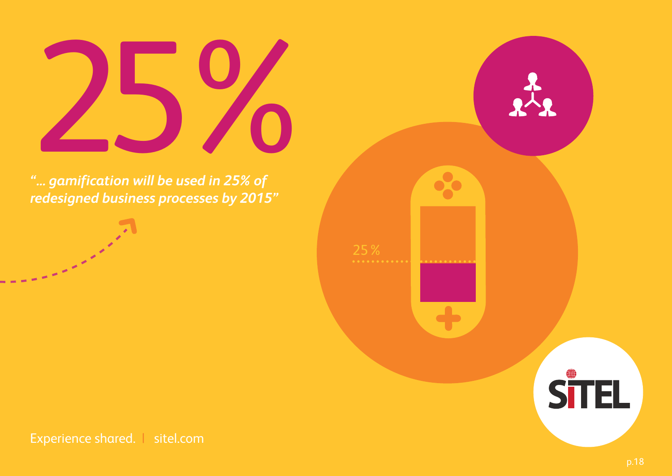# $25\%$

*redesigned business processes by 2015"*

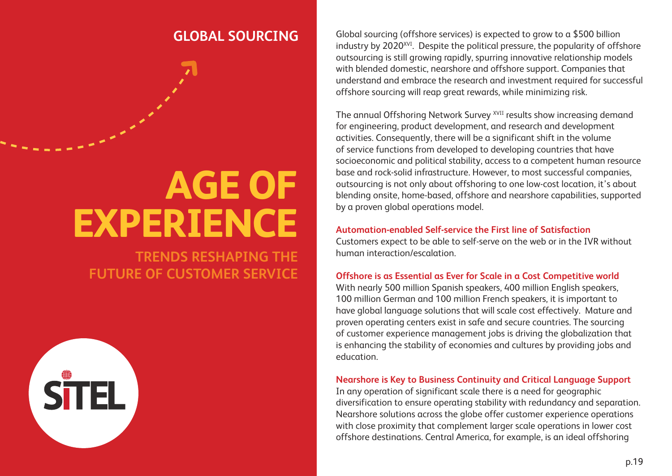## **AGE OF EXPERIENCE**

**TRENDS RESHAPING THE FUTURE OF CUSTOMER SERVICE** 



**GLOBAL SOURCING** Global sourcing (offshore services) is expected to grow to a \$500 billion industry by 2020<sup>XVI</sup>. Despite the political pressure, the popularity of offshore outsourcing is still growing rapidly, spurring innovative relationship models with blended domestic, nearshore and offshore support. Companies that understand and embrace the research and investment required for successful offshore sourcing will reap great rewards, while minimizing risk.

> The annual Offshoring Network Survey <sup>XVII</sup> results show increasing demand for engineering, product development, and research and development activities. Consequently, there will be a significant shift in the volume of service functions from developed to developing countries that have socioeconomic and political stability, access to a competent human resource base and rock-solid infrastructure. However, to most successful companies, outsourcing is not only about offshoring to one low-cost location, it's about blending onsite, home-based, offshore and nearshore capabilities, supported by a proven global operations model.

#### **Automation-enabled Self-service the First line of Satisfaction**

Customers expect to be able to self-serve on the web or in the IVR without human interaction/escalation.

#### **Offshore is as Essential as Ever for Scale in a Cost Competitive world**

With nearly 500 million Spanish speakers, 400 million English speakers, 100 million German and 100 million French speakers, it is important to have global language solutions that will scale cost effectively. Mature and proven operating centers exist in safe and secure countries. The sourcing of customer experience management jobs is driving the globalization that is enhancing the stability of economies and cultures by providing jobs and education.

#### **Nearshore is Key to Business Continuity and Critical Language Support**

In any operation of significant scale there is a need for geographic diversification to ensure operating stability with redundancy and separation. Nearshore solutions across the globe offer customer experience operations with close proximity that complement larger scale operations in lower cost offshore destinations. Central America, for example, is an ideal offshoring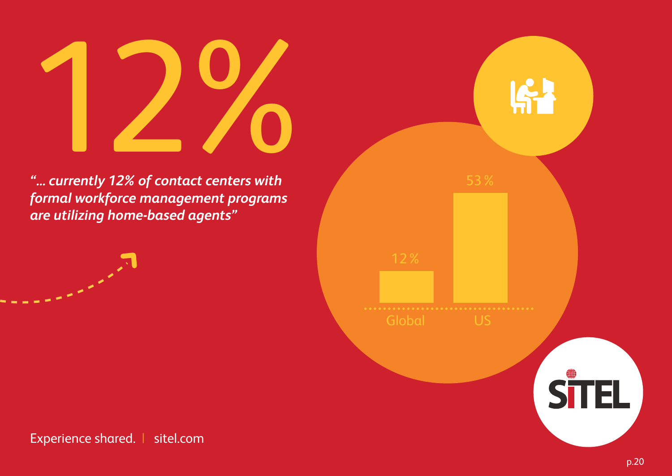# $12%$

*"... currently 12% of contact centers with formal workforce management programs are utilizing home-based agents"*



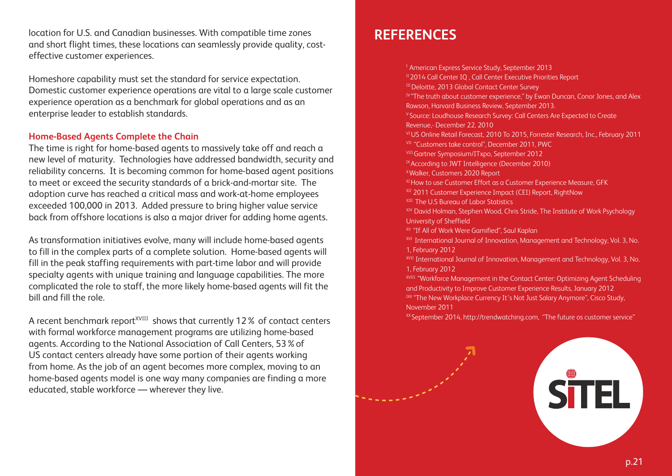location for U.S. and Canadian businesses. With compatible time zones and short flight times, these locations can seamlessly provide quality, costeffective customer experiences.

Homeshore capability must set the standard for service expectation. Domestic customer experience operations are vital to a large scale customer experience operation as a benchmark for global operations and as an enterprise leader to establish standards.

#### **Home-Based Agents Complete the Chain**

The time is right for home-based agents to massively take off and reach a new level of maturity. Technologies have addressed bandwidth, security and reliability concerns. It is becoming common for home-based agent positions to meet or exceed the security standards of a brick-and-mortar site. The adoption curve has reached a critical mass and work-at-home employees exceeded 100,000 in 2013. Added pressure to bring higher value service back from offshore locations is also a major driver for adding home agents.

As transformation initiatives evolve, many will include home-based agents to fill in the complex parts of a complete solution. Home-based agents will fill in the peak staffing requirements with part-time labor and will provide specialty agents with unique training and language capabilities. The more complicated the role to staff, the more likely home-based agents will fit the bill and fill the role.

A recent benchmark report<sup>XVIII</sup> shows that currently 12% of contact centers with formal workforce management programs are utilizing home-based agents. According to the National Association of Call Centers, 53%of US contact centers already have some portion of their agents working from home. As the job of an agent becomes more complex, moving to an home-based agents model is one way many companies are finding a more educated, stable workforce — wherever they live.

#### **REFERENCES**

<sup>1</sup> American Express Service Study, September 2013 II 2014 Call Center IQ, Call Center Executive Priorities Report III Deloitte, 2013 Global Contact Center Survey  $I<sup>N</sup>$  "The truth about customer experience," by Ewan Duncan, Conor Jones, and Alex Rawson, Harvard Business Review, September 2013. V Source: Loudhouse Research Survey: Call Centers Are Expected to Create Revenue,- December 22, 2010 VI US Online Retail Forecast, 2010 To 2015, Forrester Research, Inc., February 2011 **VII** "Customers take control", December 2011, PWC VIII Gartner Symposium/ITxpo, September 2012 IX According to JWT Intelligence (December 2010) X Walker, Customers 2020 Report XI How to use Customer Effort as a Customer Experience Measure, GFK XII 2011 Customer Experience Impact (CEI) Report, RightNow **XIII** The U.S Bureau of Labor Statistics XIV David Holman, Stephen Wood, Chris Stride, The Institute of Work Psychology University of Sheffield XV "If All of Work Were Gamified", Saul Kaplan <sup>XVI</sup> International Journal of Innovation, Management and Technology, Vol. 3, No. 1, February 2012 XVII International Journal of Innovation, Management and Technology, Vol. 3, No. 1, February 2012 XVIII "Workforce Management in the Contact Center: Optimizing Agent Scheduling and Productivity to Improve Customer Experience Results, January 2012 IXX "The New Workplace Currency It's Not Just Salary Anymore", Cisco Study, November 2011